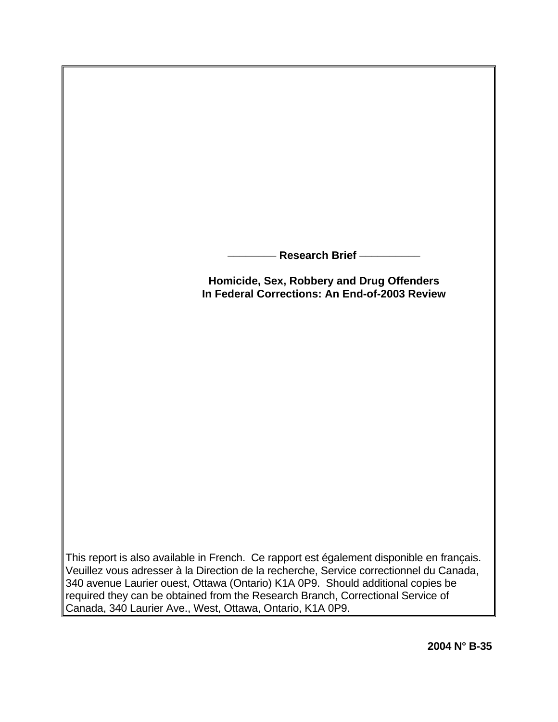**\_\_\_\_\_\_\_\_ Research Brief \_\_\_\_\_\_\_\_\_\_**

**Homicide, Sex, Robbery and Drug Offenders In Federal Corrections: An End-of-2003 Review**

This report is also available in French. Ce rapport est également disponible en français. Veuillez vous adresser à la Direction de la recherche, Service correctionnel du Canada, 340 avenue Laurier ouest, Ottawa (Ontario) K1A 0P9. Should additional copies be required they can be obtained from the Research Branch, Correctional Service of Canada, 340 Laurier Ave., West, Ottawa, Ontario, K1A 0P9.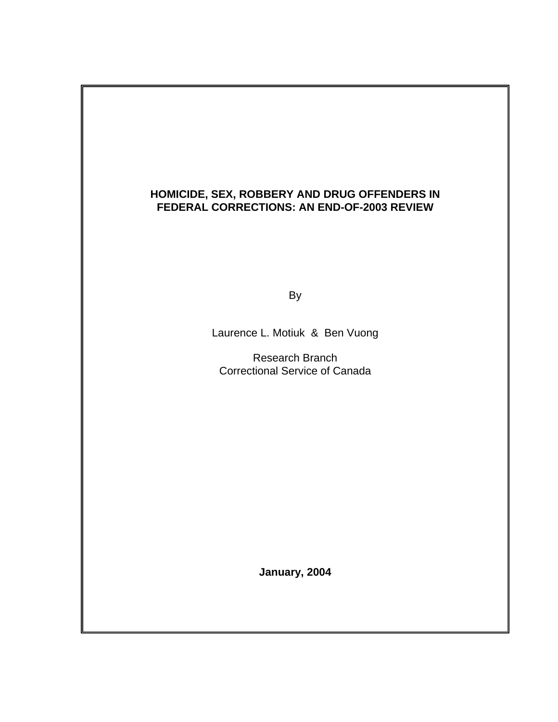## **HOMICIDE, SEX, ROBBERY AND DRUG OFFENDERS IN FEDERAL CORRECTIONS: AN END-OF-2003 REVIEW**

and the contract of the By-

Laurence L. Motiuk & Ben Vuong

 Research Branch Correctional Service of Canada

**January, 2004**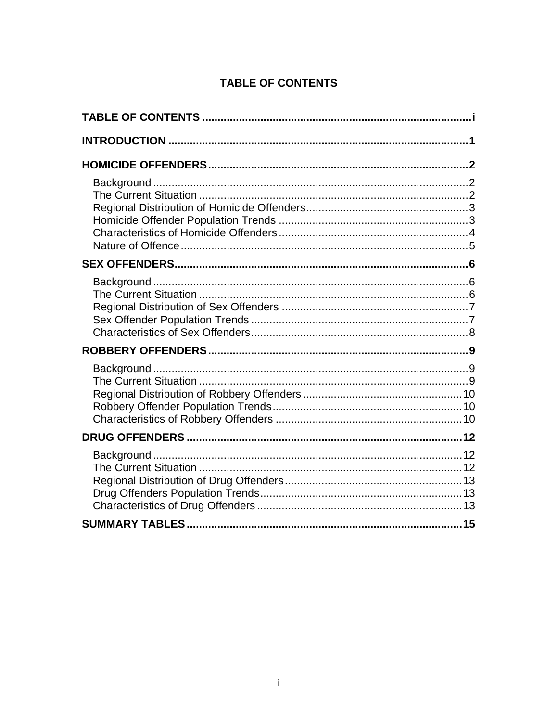# **TABLE OF CONTENTS**

<span id="page-2-0"></span>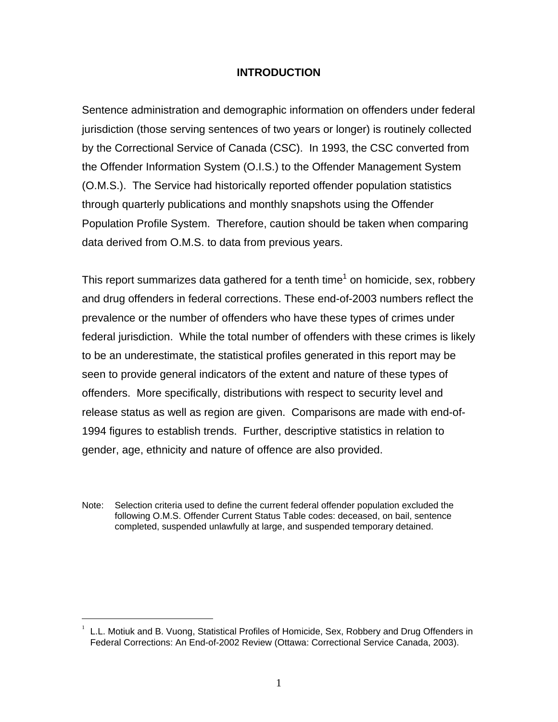### **INTRODUCTION**

<span id="page-3-0"></span>Sentence administration and demographic information on offenders under federal jurisdiction (those serving sentences of two years or longer) is routinely collected by the Correctional Service of Canada (CSC). In 1993, the CSC converted from the Offender Information System (O.I.S.) to the Offender Management System (O.M.S.). The Service had historically reported offender population statistics through quarterly publications and monthly snapshots using the Offender Population Profile System. Therefore, caution should be taken when comparing data derived from O.M.S. to data from previous years.

This report summarizes data gathered for a tenth time<sup>[1](#page-3-1)</sup> on homicide, sex, robbery and drug offenders in federal corrections. These end-of-2003 numbers reflect the prevalence or the number of offenders who have these types of crimes under federal jurisdiction. While the total number of offenders with these crimes is likely to be an underestimate, the statistical profiles generated in this report may be seen to provide general indicators of the extent and nature of these types of offenders. More specifically, distributions with respect to security level and release status as well as region are given. Comparisons are made with end-of-1994 figures to establish trends. Further, descriptive statistics in relation to gender, age, ethnicity and nature of offence are also provided.

Note: Selection criteria used to define the current federal offender population excluded the following O.M.S. Offender Current Status Table codes: deceased, on bail, sentence completed, suspended unlawfully at large, and suspended temporary detained.

 $\overline{a}$ 

<span id="page-3-1"></span><sup>1</sup> L.L. Motiuk and B. Vuong, Statistical Profiles of Homicide, Sex, Robbery and Drug Offenders in Federal Corrections: An End-of-2002 Review (Ottawa: Correctional Service Canada, 2003).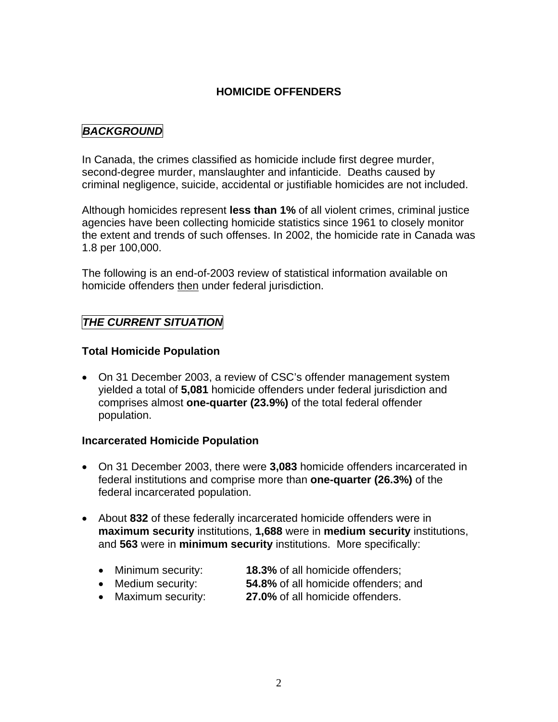## **HOMICIDE OFFENDERS**

## <span id="page-4-0"></span>*BACKGROUND*

In Canada, the crimes classified as homicide include first degree murder, second-degree murder, manslaughter and infanticide. Deaths caused by criminal negligence, suicide, accidental or justifiable homicides are not included.

Although homicides represent **less than 1%** of all violent crimes, criminal justice agencies have been collecting homicide statistics since 1961 to closely monitor the extent and trends of such offenses. In 2002, the homicide rate in Canada was 1.8 per 100,000.

The following is an end-of-2003 review of statistical information available on homicide offenders then under federal jurisdiction.

## *THE CURRENT SITUATION*

## **Total Homicide Population**

• On 31 December 2003, a review of CSC's offender management system yielded a total of **5,081** homicide offenders under federal jurisdiction and comprises almost **one-quarter (23.9%)** of the total federal offender population.

#### **Incarcerated Homicide Population**

- On 31 December 2003, there were **3,083** homicide offenders incarcerated in federal institutions and comprise more than **one-quarter (26.3%)** of the federal incarcerated population.
- About **832** of these federally incarcerated homicide offenders were in **maximum security** institutions, **1,688** were in **medium security** institutions, and **563** were in **minimum security** institutions. More specifically:
	- Minimum security: **18.3%** of all homicide offenders;
	- Medium security: **54.8%** of all homicide offenders; and
	- Maximum security: **27.0%** of all homicide offenders.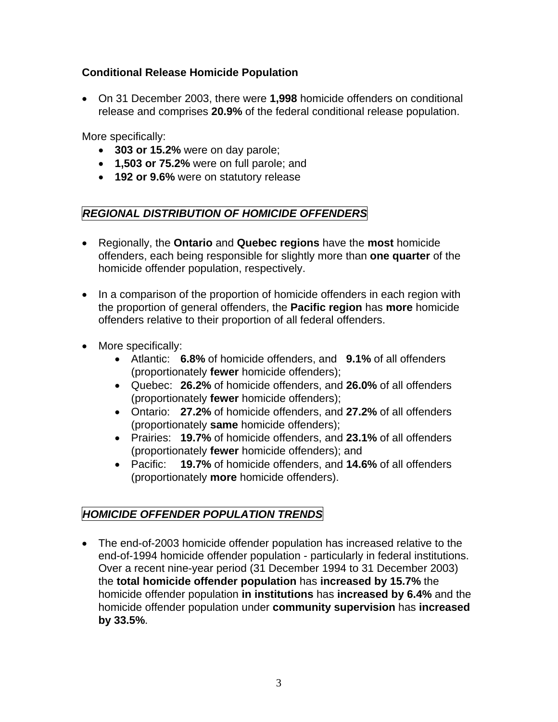## <span id="page-5-0"></span>**Conditional Release Homicide Population**

• On 31 December 2003, there were **1,998** homicide offenders on conditional release and comprises **20.9%** of the federal conditional release population.

More specifically:

- **303 or 15.2%** were on day parole;
- **1,503 or 75.2%** were on full parole; and
- **192 or 9.6%** were on statutory release

## *REGIONAL DISTRIBUTION OF HOMICIDE OFFENDERS*

- Regionally, the **Ontario** and **Quebec regions** have the **most** homicide offenders, each being responsible for slightly more than **one quarter** of the homicide offender population, respectively.
- In a comparison of the proportion of homicide offenders in each region with the proportion of general offenders, the **Pacific region** has **more** homicide offenders relative to their proportion of all federal offenders.
- More specifically:
	- Atlantic: **6.8%** of homicide offenders, and **9.1%** of all offenders (proportionately **fewer** homicide offenders);
	- Quebec: **26.2%** of homicide offenders, and **26.0%** of all offenders (proportionately **fewer** homicide offenders);
	- Ontario: **27.2%** of homicide offenders, and **27.2%** of all offenders (proportionately **same** homicide offenders);
	- Prairies: **19.7%** of homicide offenders, and **23.1%** of all offenders (proportionately **fewer** homicide offenders); and
	- Pacific: **19.7%** of homicide offenders, and **14.6%** of all offenders (proportionately **more** homicide offenders).

## *HOMICIDE OFFENDER POPULATION TRENDS*

• The end-of-2003 homicide offender population has increased relative to the end-of-1994 homicide offender population - particularly in federal institutions. Over a recent nine-year period (31 December 1994 to 31 December 2003) the **total homicide offender population** has **increased by 15.7%** the homicide offender population **in institutions** has **increased by 6.4%** and the homicide offender population under **community supervision** has **increased by 33.5%**.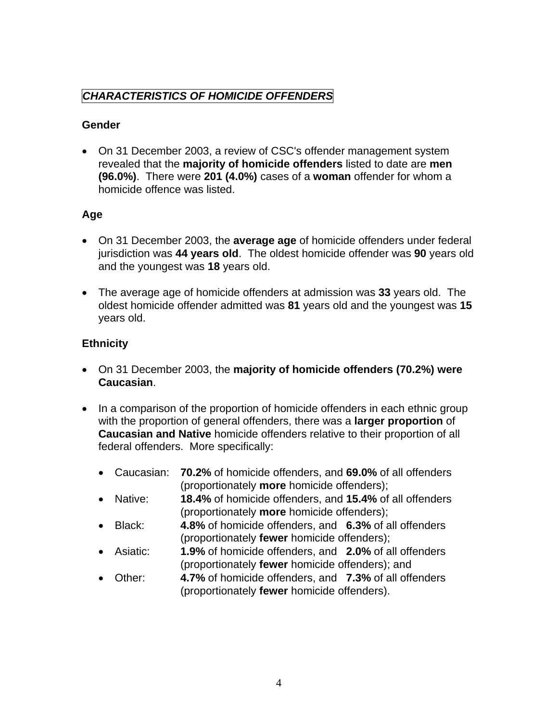# <span id="page-6-0"></span>*CHARACTERISTICS OF HOMICIDE OFFENDERS*

## **Gender**

• On 31 December 2003, a review of CSC's offender management system revealed that the **majority of homicide offenders** listed to date are **men (96.0%)**. There were **201 (4.0%)** cases of a **woman** offender for whom a homicide offence was listed.

## **Age**

- On 31 December 2003, the **average age** of homicide offenders under federal jurisdiction was **44 years old**. The oldest homicide offender was **90** years old and the youngest was **18** years old.
- The average age of homicide offenders at admission was **33** years old. The oldest homicide offender admitted was **81** years old and the youngest was **15** years old.

## **Ethnicity**

- On 31 December 2003, the **majority of homicide offenders (70.2%) were Caucasian**.
- In a comparison of the proportion of homicide offenders in each ethnic group with the proportion of general offenders, there was a **larger proportion** of **Caucasian and Native** homicide offenders relative to their proportion of all federal offenders. More specifically:
	- Caucasian: **70.2%** of homicide offenders, and **69.0%** of all offenders (proportionately **more** homicide offenders);
	- Native: **18.4%** of homicide offenders, and **15.4%** of all offenders (proportionately **more** homicide offenders);
	- Black: **4.8%** of homicide offenders, and **6.3%** of all offenders (proportionately **fewer** homicide offenders);
	- Asiatic: **1.9%** of homicide offenders, and **2.0%** of all offenders (proportionately **fewer** homicide offenders); and
	- Other: **4.7%** of homicide offenders, and **7.3%** of all offenders (proportionately **fewer** homicide offenders).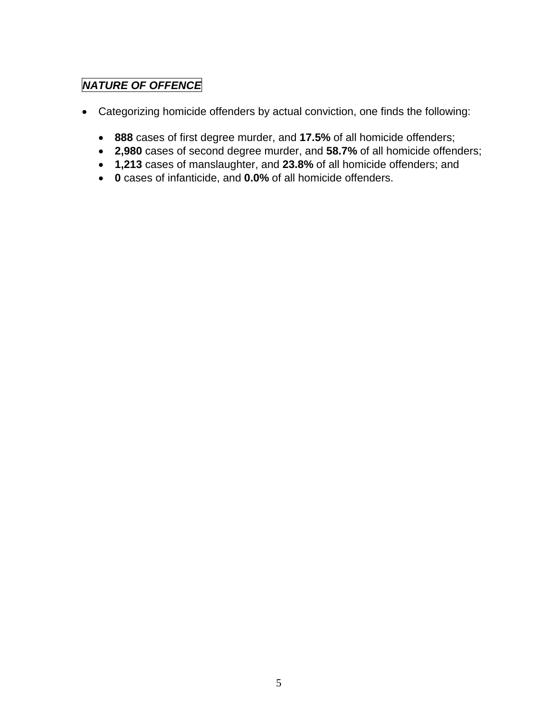# *NATURE OF OFFENCE*

- Categorizing homicide offenders by actual conviction, one finds the following:
	- **888** cases of first degree murder, and **17.5%** of all homicide offenders;
	- **2,980** cases of second degree murder, and **58.7%** of all homicide offenders;
	- **1,213** cases of manslaughter, and **23.8%** of all homicide offenders; and
	- **0** cases of infanticide, and **0.0%** of all homicide offenders.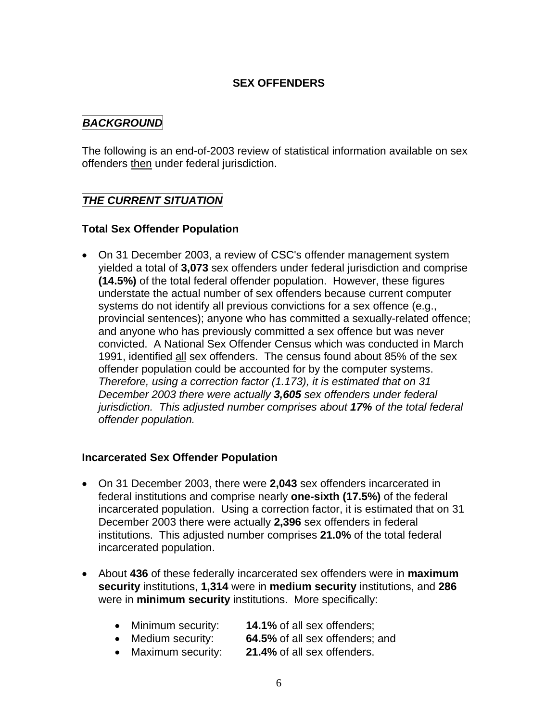## **SEX OFFENDERS**

## <span id="page-8-0"></span>*BACKGROUND*

The following is an end-of-2003 review of statistical information available on sex offenders then under federal jurisdiction.

## *THE CURRENT SITUATION*

#### **Total Sex Offender Population**

• On 31 December 2003, a review of CSC's offender management system yielded a total of **3,073** sex offenders under federal jurisdiction and comprise **(14.5%)** of the total federal offender population. However, these figures understate the actual number of sex offenders because current computer systems do not identify all previous convictions for a sex offence (e.g., provincial sentences); anyone who has committed a sexually-related offence; and anyone who has previously committed a sex offence but was never convicted. A National Sex Offender Census which was conducted in March 1991, identified all sex offenders. The census found about 85% of the sex offender population could be accounted for by the computer systems. *Therefore, using a correction factor (1.173), it is estimated that on 31 December 2003 there were actually 3,605 sex offenders under federal jurisdiction. This adjusted number comprises about 17% of the total federal offender population.*

#### **Incarcerated Sex Offender Population**

- On 31 December 2003, there were **2,043** sex offenders incarcerated in federal institutions and comprise nearly **one-sixth (17.5%)** of the federal incarcerated population. Using a correction factor, it is estimated that on 31 December 2003 there were actually **2,396** sex offenders in federal institutions. This adjusted number comprises **21.0%** of the total federal incarcerated population.
- About **436** of these federally incarcerated sex offenders were in **maximum security** institutions, **1,314** were in **medium security** institutions, and **286** were in **minimum security** institutions. More specifically:
	- Minimum security: **14.1%** of all sex offenders;
	- Medium security: **64.5%** of all sex offenders; and
	- Maximum security: **21.4%** of all sex offenders.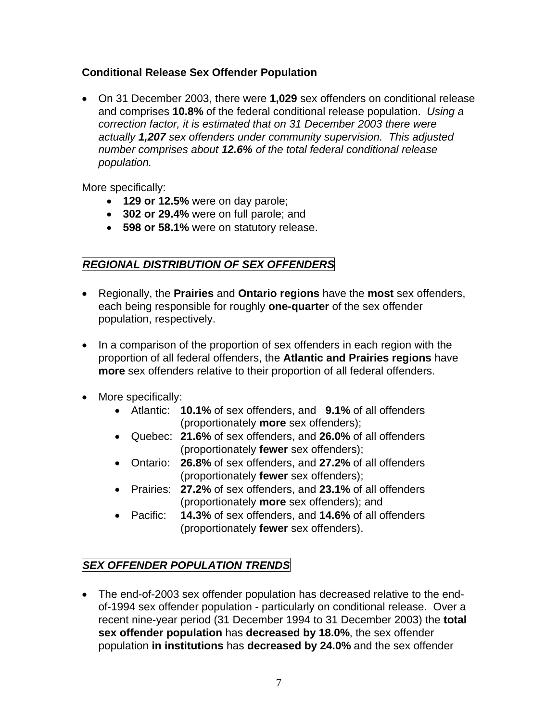## <span id="page-9-0"></span>**Conditional Release Sex Offender Population**

• On 31 December 2003, there were **1,029** sex offenders on conditional release and comprises **10.8%** of the federal conditional release population. *Using a correction factor, it is estimated that on 31 December 2003 there were actually 1,207 sex offenders under community supervision. This adjusted number comprises about 12.6% of the total federal conditional release population.*

More specifically:

- **129 or 12.5%** were on day parole;
- **302 or 29.4%** were on full parole; and
- **598 or 58.1%** were on statutory release.

# *REGIONAL DISTRIBUTION OF SEX OFFENDERS*

- Regionally, the **Prairies** and **Ontario regions** have the **most** sex offenders, each being responsible for roughly **one-quarter** of the sex offender population, respectively.
- In a comparison of the proportion of sex offenders in each region with the proportion of all federal offenders, the **Atlantic and Prairies regions** have **more** sex offenders relative to their proportion of all federal offenders.
- More specifically:
	- Atlantic: **10.1%** of sex offenders, and **9.1%** of all offenders (proportionately **more** sex offenders);
	- Quebec: **21.6%** of sex offenders, and **26.0%** of all offenders (proportionately **fewer** sex offenders);
	- Ontario: **26.8%** of sex offenders, and **27.2%** of all offenders (proportionately **fewer** sex offenders);
	- Prairies: **27.2%** of sex offenders, and **23.1%** of all offenders (proportionately **more** sex offenders); and
	- Pacific: **14.3%** of sex offenders, and **14.6%** of all offenders (proportionately **fewer** sex offenders).

# *SEX OFFENDER POPULATION TRENDS*

• The end-of-2003 sex offender population has decreased relative to the endof-1994 sex offender population - particularly on conditional release. Over a recent nine-year period (31 December 1994 to 31 December 2003) the **total sex offender population** has **decreased by 18.0%**, the sex offender population **in institutions** has **decreased by 24.0%** and the sex offender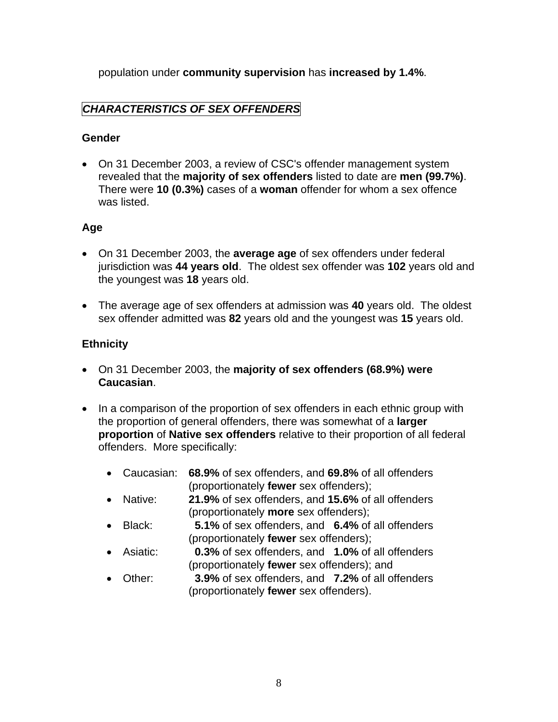<span id="page-10-0"></span>population under **community supervision** has **increased by 1.4%**.

# *CHARACTERISTICS OF SEX OFFENDERS*

## **Gender**

• On 31 December 2003, a review of CSC's offender management system revealed that the **majority of sex offenders** listed to date are **men (99.7%)**. There were **10 (0.3%)** cases of a **woman** offender for whom a sex offence was listed.

## **Age**

- On 31 December 2003, the **average age** of sex offenders under federal jurisdiction was **44 years old**. The oldest sex offender was **102** years old and the youngest was **18** years old.
- The average age of sex offenders at admission was **40** years old. The oldest sex offender admitted was **82** years old and the youngest was **15** years old.

## **Ethnicity**

- On 31 December 2003, the **majority of sex offenders (68.9%) were Caucasian**.
- In a comparison of the proportion of sex offenders in each ethnic group with the proportion of general offenders, there was somewhat of a **larger proportion** of **Native sex offenders** relative to their proportion of all federal offenders. More specifically:
	- Caucasian: **68.9%** of sex offenders, and **69.8%** of all offenders (proportionately **fewer** sex offenders);
	- Native: **21.9%** of sex offenders, and **15.6%** of all offenders (proportionately **more** sex offenders);
	- Black: **5.1%** of sex offenders, and **6.4%** of all offenders (proportionately **fewer** sex offenders);
	- Asiatic: **0.3%** of sex offenders, and **1.0%** of all offenders (proportionately **fewer** sex offenders); and
	- Other: **3.9%** of sex offenders, and **7.2%** of all offenders (proportionately **fewer** sex offenders).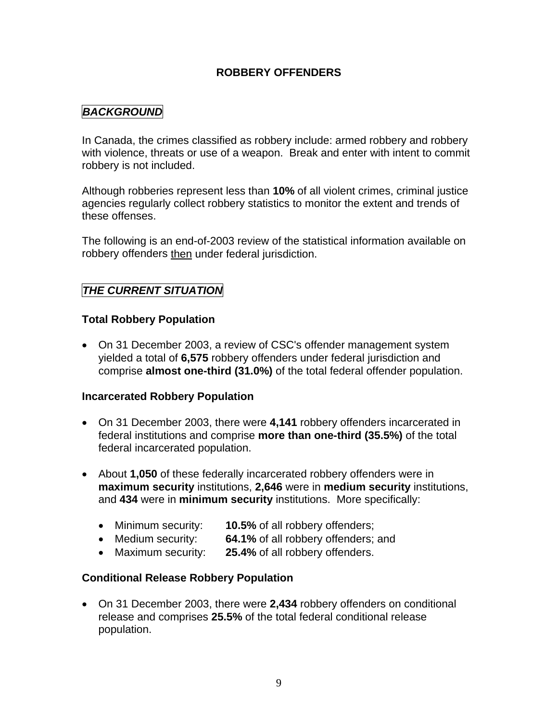## **ROBBERY OFFENDERS**

## <span id="page-11-0"></span>*BACKGROUND*

In Canada, the crimes classified as robbery include: armed robbery and robbery with violence, threats or use of a weapon. Break and enter with intent to commit robbery is not included.

Although robberies represent less than **10%** of all violent crimes, criminal justice agencies regularly collect robbery statistics to monitor the extent and trends of these offenses.

The following is an end-of-2003 review of the statistical information available on robbery offenders then under federal jurisdiction.

## *THE CURRENT SITUATION*

#### **Total Robbery Population**

• On 31 December 2003, a review of CSC's offender management system yielded a total of **6,575** robbery offenders under federal jurisdiction and comprise **almost one-third (31.0%)** of the total federal offender population.

#### **Incarcerated Robbery Population**

- On 31 December 2003, there were **4,141** robbery offenders incarcerated in federal institutions and comprise **more than one-third (35.5%)** of the total federal incarcerated population.
- About **1,050** of these federally incarcerated robbery offenders were in **maximum security** institutions, **2,646** were in **medium security** institutions, and **434** were in **minimum security** institutions. More specifically:
	- Minimum security: **10.5%** of all robbery offenders;
	- Medium security: **64.1%** of all robbery offenders; and
	- Maximum security: **25.4%** of all robbery offenders.

#### **Conditional Release Robbery Population**

• On 31 December 2003, there were **2,434** robbery offenders on conditional release and comprises **25.5%** of the total federal conditional release population.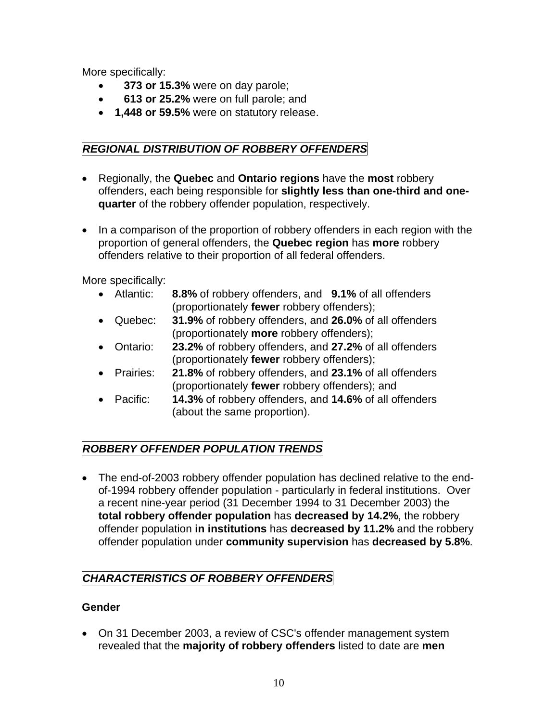<span id="page-12-0"></span>More specifically:

- • **373 or 15.3%** were on day parole;
- • **613 or 25.2%** were on full parole; and
- **1,448 or 59.5%** were on statutory release.

# *REGIONAL DISTRIBUTION OF ROBBERY OFFENDERS*

- Regionally, the **Quebec** and **Ontario regions** have the **most** robbery offenders, each being responsible for **slightly less than one-third and onequarter** of the robbery offender population, respectively.
- In a comparison of the proportion of robbery offenders in each region with the proportion of general offenders, the **Quebec region** has **more** robbery offenders relative to their proportion of all federal offenders.

More specifically:

- Atlantic: **8.8%** of robbery offenders, and **9.1%** of all offenders (proportionately **fewer** robbery offenders);
- Quebec: **31.9%** of robbery offenders, and **26.0%** of all offenders (proportionately **more** robbery offenders);
- Ontario: **23.2%** of robbery offenders, and **27.2%** of all offenders (proportionately **fewer** robbery offenders);
- Prairies: **21.8%** of robbery offenders, and **23.1%** of all offenders (proportionately **fewer** robbery offenders); and
- Pacific: **14.3%** of robbery offenders, and **14.6%** of all offenders (about the same proportion).

# *ROBBERY OFFENDER POPULATION TRENDS*

• The end-of-2003 robbery offender population has declined relative to the endof-1994 robbery offender population - particularly in federal institutions. Over a recent nine-year period (31 December 1994 to 31 December 2003) the **total robbery offender population** has **decreased by 14.2%**, the robbery offender population **in institutions** has **decreased by 11.2%** and the robbery offender population under **community supervision** has **decreased by 5.8%**.

# *CHARACTERISTICS OF ROBBERY OFFENDERS*

## **Gender**

• On 31 December 2003, a review of CSC's offender management system revealed that the **majority of robbery offenders** listed to date are **men**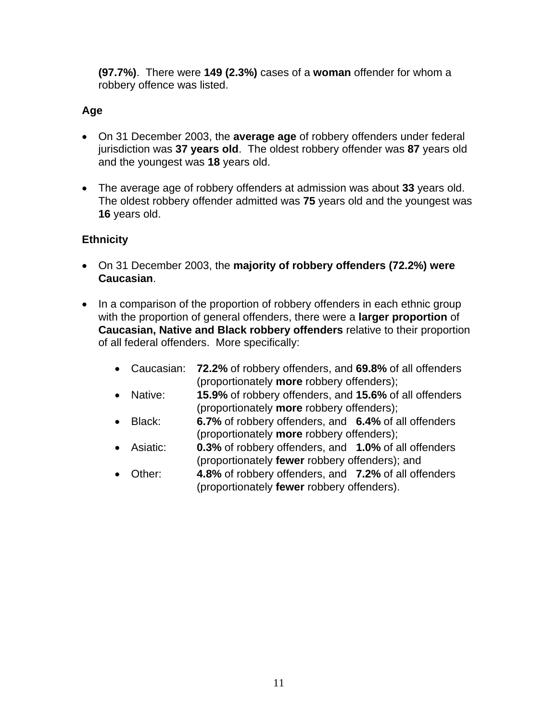**(97.7%)**. There were **149 (2.3%)** cases of a **woman** offender for whom a robbery offence was listed.

## **Age**

- On 31 December 2003, the **average age** of robbery offenders under federal jurisdiction was **37 years old**. The oldest robbery offender was **87** years old and the youngest was **18** years old.
- The average age of robbery offenders at admission was about **33** years old. The oldest robbery offender admitted was **75** years old and the youngest was **16** years old.

## **Ethnicity**

- On 31 December 2003, the **majority of robbery offenders (72.2%) were Caucasian**.
- In a comparison of the proportion of robbery offenders in each ethnic group with the proportion of general offenders, there were a **larger proportion** of **Caucasian, Native and Black robbery offenders** relative to their proportion of all federal offenders. More specifically:
	- Caucasian: **72.2%** of robbery offenders, and **69.8%** of all offenders (proportionately **more** robbery offenders);
	- Native: **15.9%** of robbery offenders, and **15.6%** of all offenders (proportionately **more** robbery offenders);
	- Black: **6.7%** of robbery offenders, and **6.4%** of all offenders (proportionately **more** robbery offenders);
	- Asiatic: **0.3%** of robbery offenders, and **1.0%** of all offenders (proportionately **fewer** robbery offenders); and
	- Other: **4.8%** of robbery offenders, and **7.2%** of all offenders (proportionately **fewer** robbery offenders).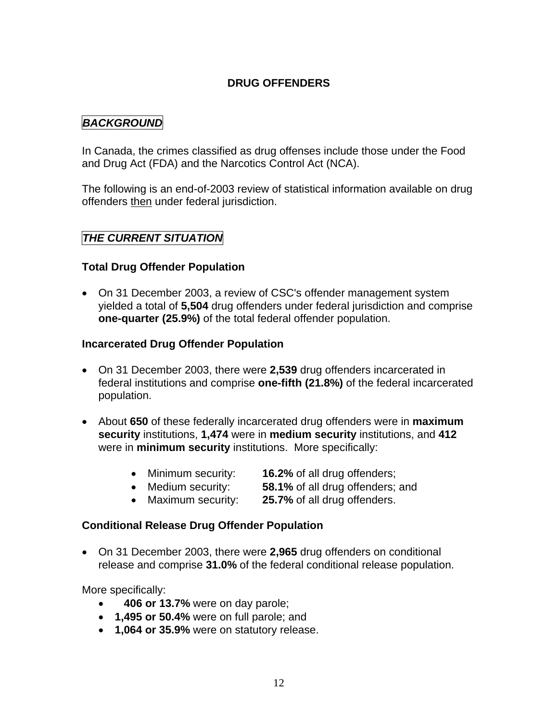## **DRUG OFFENDERS**

## <span id="page-14-0"></span>*BACKGROUND*

In Canada, the crimes classified as drug offenses include those under the Food and Drug Act (FDA) and the Narcotics Control Act (NCA).

The following is an end-of-2003 review of statistical information available on drug offenders then under federal jurisdiction.

## *THE CURRENT SITUATION*

#### **Total Drug Offender Population**

• On 31 December 2003, a review of CSC's offender management system yielded a total of **5,504** drug offenders under federal jurisdiction and comprise **one-quarter (25.9%)** of the total federal offender population.

#### **Incarcerated Drug Offender Population**

- On 31 December 2003, there were **2,539** drug offenders incarcerated in federal institutions and comprise **one-fifth (21.8%)** of the federal incarcerated population.
- About **650** of these federally incarcerated drug offenders were in **maximum security** institutions, **1,474** were in **medium security** institutions, and **412** were in **minimum security** institutions. More specifically:
	- Minimum security: **16.2%** of all drug offenders;
	- Medium security: **58.1%** of all drug offenders; and
	- Maximum security: **25.7%** of all drug offenders.

#### **Conditional Release Drug Offender Population**

• On 31 December 2003, there were **2,965** drug offenders on conditional release and comprise **31.0%** of the federal conditional release population.

More specifically:

- • **406 or 13.7%** were on day parole;
- **1,495 or 50.4%** were on full parole; and
- **1,064 or 35.9%** were on statutory release.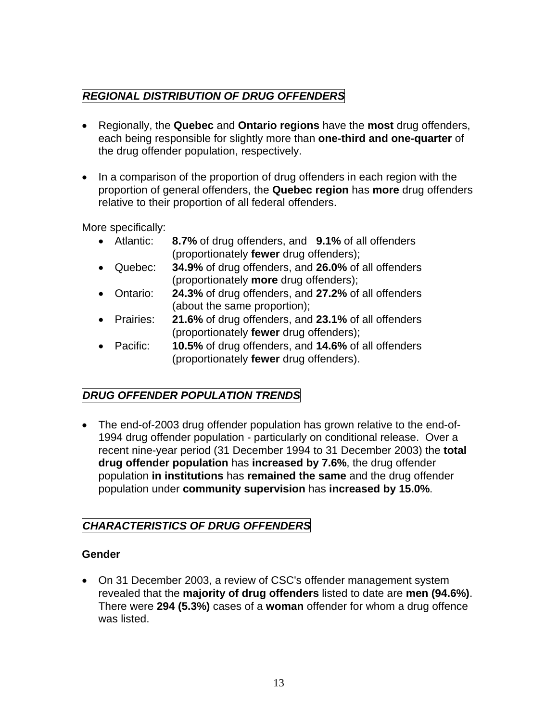# <span id="page-15-0"></span>*REGIONAL DISTRIBUTION OF DRUG OFFENDERS*

- Regionally, the **Quebec** and **Ontario regions** have the **most** drug offenders, each being responsible for slightly more than **one-third and one-quarter** of the drug offender population, respectively.
- In a comparison of the proportion of drug offenders in each region with the proportion of general offenders, the **Quebec region** has **more** drug offenders relative to their proportion of all federal offenders.

More specifically:

- Atlantic: **8.7%** of drug offenders, and **9.1%** of all offenders (proportionately **fewer** drug offenders);
- Quebec: **34.9%** of drug offenders, and **26.0%** of all offenders (proportionately **more** drug offenders);
- Ontario: **24.3%** of drug offenders, and **27.2%** of all offenders (about the same proportion);
- Prairies: **21.6%** of drug offenders, and **23.1%** of all offenders (proportionately **fewer** drug offenders);
- Pacific: **10.5%** of drug offenders, and **14.6%** of all offenders (proportionately **fewer** drug offenders).

# *DRUG OFFENDER POPULATION TRENDS*

• The end-of-2003 drug offender population has grown relative to the end-of-1994 drug offender population - particularly on conditional release. Over a recent nine-year period (31 December 1994 to 31 December 2003) the **total drug offender population** has **increased by 7.6%**, the drug offender population **in institutions** has **remained the same** and the drug offender population under **community supervision** has **increased by 15.0%**.

## *CHARACTERISTICS OF DRUG OFFENDERS*

## **Gender**

• On 31 December 2003, a review of CSC's offender management system revealed that the **majority of drug offenders** listed to date are **men (94.6%)**. There were **294 (5.3%)** cases of a **woman** offender for whom a drug offence was listed.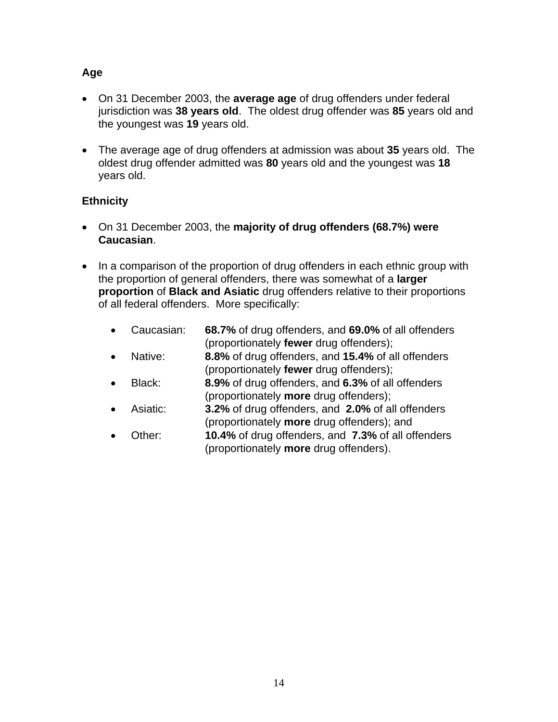## **Age**

- On 31 December 2003, the **average age** of drug offenders under federal jurisdiction was **38 years old**. The oldest drug offender was **85** years old and the youngest was **19** years old.
- The average age of drug offenders at admission was about **35** years old. The oldest drug offender admitted was **80** years old and the youngest was **18** years old.

## **Ethnicity**

- On 31 December 2003, the **majority of drug offenders (68.7%) were Caucasian**.
- In a comparison of the proportion of drug offenders in each ethnic group with the proportion of general offenders, there was somewhat of a **larger proportion** of **Black and Asiatic** drug offenders relative to their proportions of all federal offenders. More specifically:
	- Caucasian: **68.7%** of drug offenders, and **69.0%** of all offenders (proportionately **fewer** drug offenders);
	- Native: **8.8%** of drug offenders, and **15.4%** of all offenders (proportionately **fewer** drug offenders);
	- Black: **8.9%** of drug offenders, and **6.3%** of all offenders (proportionately **more** drug offenders);
	- Asiatic: **3.2%** of drug offenders, and **2.0%** of all offenders (proportionately **more** drug offenders); and
	- Other: **10.4%** of drug offenders, and **7.3%** of all offenders (proportionately **more** drug offenders).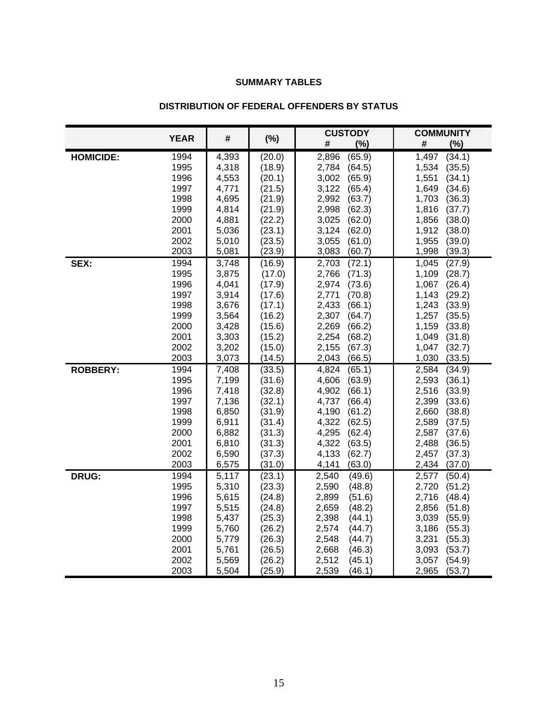#### **SUMMARY TABLES**

<span id="page-17-0"></span>

|                  |              |                |                  | <b>CUSTODY</b>                     | <b>COMMUNITY</b>                   |  |
|------------------|--------------|----------------|------------------|------------------------------------|------------------------------------|--|
|                  | <b>YEAR</b>  | #              | $(\%)$           | (%)<br>#                           | #<br>(%)                           |  |
| <b>HOMICIDE:</b> | 1994         | 4,393          | (20.0)           | 2,896<br>(65.9)                    | 1,497<br>(34.1)                    |  |
|                  | 1995         | 4,318          | (18.9)           | 2,784<br>(64.5)                    | 1,534<br>(35.5)                    |  |
|                  | 1996         | 4,553          | (20.1)           | 3,002<br>(65.9)                    | 1,551<br>(34.1)                    |  |
|                  | 1997         | 4,771          | (21.5)           | 3,122<br>(65.4)                    | 1,649<br>(34.6)                    |  |
|                  | 1998         | 4,695          | (21.9)           | 2,992<br>(63.7)                    | 1,703<br>(36.3)                    |  |
|                  | 1999         | 4,814          | (21.9)           | 2,998<br>(62.3)                    | 1,816<br>(37.7)                    |  |
|                  | 2000         | 4,881          | (22.2)           | 3,025<br>(62.0)                    | 1,856<br>(38.0)                    |  |
|                  | 2001         | 5,036          | (23.1)           | 3,124<br>(62.0)                    | 1,912<br>(38.0)                    |  |
|                  | 2002         | 5,010          | (23.5)           | 3,055<br>(61.0)                    | 1,955<br>(39.0)                    |  |
|                  | 2003         | 5,081          | (23.9)           | 3,083<br>(60.7)                    | 1,998<br>(39.3)                    |  |
| SEX:             | 1994         | 3,748          | (16.9)           | 2,703<br>(72.1)                    | (27.9)<br>1,045                    |  |
|                  | 1995         | 3,875          | (17.0)           | 2,766<br>(71.3)                    | 1,109<br>(28.7)                    |  |
|                  | 1996         | 4,041          | (17.9)           | 2,974<br>(73.6)                    | 1,067<br>(26.4)                    |  |
|                  | 1997         | 3,914          | (17.6)           | 2,771<br>(70.8)                    | 1,143<br>(29.2)                    |  |
|                  | 1998         | 3,676          | (17.1)           | (66.1)<br>2,433                    | 1,243<br>(33.9)                    |  |
|                  | 1999         | 3,564          | (16.2)           | 2,307<br>(64.7)                    | 1,257<br>(35.5)                    |  |
|                  | 2000         | 3,428          | (15.6)           | (66.2)<br>2,269                    | (33.8)<br>1,159                    |  |
|                  | 2001         | 3,303          | (15.2)           | 2,254<br>(68.2)                    | 1,049<br>(31.8)                    |  |
|                  | 2002         | 3,202          | (15.0)           | 2,155<br>(67.3)                    | 1,047<br>(32.7)                    |  |
|                  | 2003         | 3,073          | (14.5)           | 2,043<br>(66.5)                    | 1,030<br>(33.5)                    |  |
| <b>ROBBERY:</b>  | 1994         | 7,408          | (33.5)           | 4,824<br>(65.1)                    | 2,584<br>(34.9)                    |  |
|                  | 1995         | 7,199          | (31.6)           | 4,606<br>(63.9)                    | 2,593<br>(36.1)                    |  |
|                  | 1996         | 7,418          | (32.8)           | 4,902<br>(66.1)                    | 2,516<br>(33.9)                    |  |
|                  | 1997         | 7,136          | (32.1)           | 4,737<br>(66.4)                    | 2,399<br>(33.6)                    |  |
|                  | 1998         | 6,850          | (31.9)           | 4,190<br>(61.2)                    | 2,660<br>(38.8)                    |  |
|                  | 1999         | 6,911          | (31.4)           | 4,322<br>(62.5)                    | 2,589<br>(37.5)                    |  |
|                  | 2000<br>2001 | 6,882          | (31.3)           | 4,295<br>(62.4)                    | 2,587<br>(37.6)                    |  |
|                  | 2002         | 6,810<br>6,590 | (31.3)<br>(37.3) | 4,322<br>(63.5)<br>4,133<br>(62.7) | 2,488<br>(36.5)<br>2,457<br>(37.3) |  |
|                  | 2003         | 6,575          | (31.0)           | 4,141<br>(63.0)                    | 2,434<br>(37.0)                    |  |
| <b>DRUG:</b>     | 1994         | 5,117          | (23.1)           | 2,540<br>(49.6)                    | 2,577<br>(50.4)                    |  |
|                  | 1995         | 5,310          | (23.3)           | 2,590<br>(48.8)                    | 2,720<br>(51.2)                    |  |
|                  | 1996         | 5,615          | (24.8)           | 2,899<br>(51.6)                    | 2,716<br>(48.4)                    |  |
|                  | 1997         | 5,515          | (24.8)           | 2,659<br>(48.2)                    | 2,856<br>(51.8)                    |  |
|                  | 1998         | 5,437          | (25.3)           | 2,398<br>(44.1)                    | 3,039<br>(55.9)                    |  |
|                  | 1999         | 5,760          | (26.2)           | 2,574<br>(44.7)                    | 3,186<br>(55.3)                    |  |
|                  | 2000         | 5,779          | (26.3)           | 2,548<br>(44.7)                    | 3,231<br>(55.3)                    |  |
|                  | 2001         | 5,761          | (26.5)           | 2,668<br>(46.3)                    | 3,093<br>(53.7)                    |  |
|                  | 2002         | 5,569          | (26.2)           | 2,512<br>(45.1)                    | 3,057<br>(54.9)                    |  |
|                  | 2003         | 5,504          | (25.9)           | 2,539<br>(46.1)                    | 2,965<br>(53.7)                    |  |

#### **DISTRIBUTION OF FEDERAL OFFENDERS BY STATUS**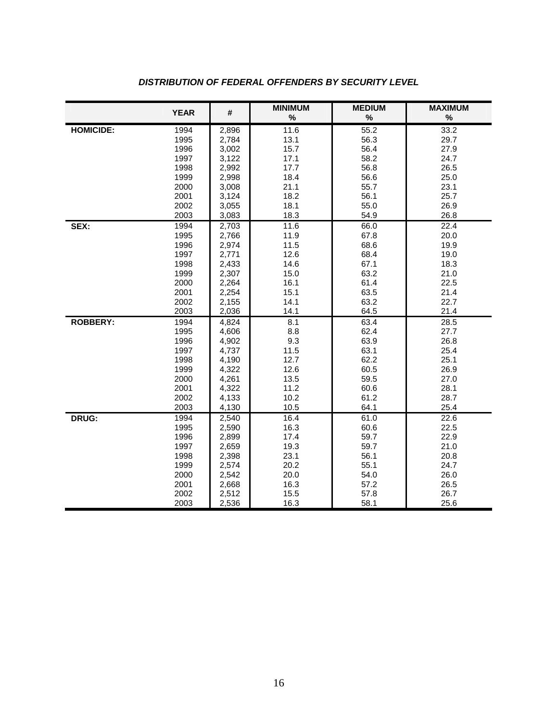|                  | <b>YEAR</b>  | #              | <b>MINIMUM</b><br>$\%$ | <b>MEDIUM</b><br>$\%$ | <b>MAXIMUM</b><br>$\%$ |
|------------------|--------------|----------------|------------------------|-----------------------|------------------------|
| <b>HOMICIDE:</b> | 1994         | 2,896          | 11.6                   | 55.2                  | 33.2                   |
|                  | 1995         | 2,784          | 13.1                   | 56.3                  | 29.7                   |
|                  | 1996         | 3,002          | 15.7                   | 56.4                  | 27.9                   |
|                  | 1997         | 3,122          | 17.1                   | 58.2                  | 24.7                   |
|                  | 1998         | 2,992          | 17.7                   | 56.8                  | 26.5                   |
|                  | 1999         | 2,998          | 18.4                   | 56.6                  | 25.0                   |
|                  | 2000         | 3,008          | 21.1                   | 55.7                  | 23.1                   |
|                  | 2001         | 3,124          | 18.2                   | 56.1                  | 25.7                   |
|                  | 2002         | 3,055          | 18.1                   | 55.0                  | 26.9                   |
|                  | 2003         | 3,083          | 18.3                   | 54.9                  | 26.8                   |
| SEX:             | 1994         | 2,703          | 11.6                   | 66.0                  | $\overline{2}$ 2.4     |
|                  | 1995         | 2,766          | 11.9                   | 67.8                  | 20.0                   |
|                  | 1996         | 2,974          | 11.5                   | 68.6                  | 19.9                   |
|                  | 1997         | 2,771          | 12.6                   | 68.4                  | 19.0                   |
|                  | 1998         | 2,433          | 14.6                   | 67.1                  | 18.3                   |
|                  | 1999         | 2,307          | 15.0                   | 63.2                  | 21.0                   |
|                  | 2000         | 2,264          | 16.1                   | 61.4                  | 22.5                   |
|                  | 2001         | 2,254          | 15.1                   | 63.5                  | 21.4<br>22.7           |
|                  | 2002<br>2003 | 2,155          | 14.1<br>14.1           | 63.2<br>64.5          | 21.4                   |
|                  |              | 2,036          |                        |                       |                        |
| <b>ROBBERY:</b>  | 1994<br>1995 | 4,824<br>4,606 | 8.1<br>8.8             | 63.4<br>62.4          | 28.5<br>27.7           |
|                  | 1996         | 4,902          | 9.3                    | 63.9                  | 26.8                   |
|                  | 1997         | 4,737          | 11.5                   | 63.1                  | 25.4                   |
|                  | 1998         | 4,190          | 12.7                   | 62.2                  | 25.1                   |
|                  | 1999         | 4,322          | 12.6                   | 60.5                  | 26.9                   |
|                  | 2000         | 4,261          | 13.5                   | 59.5                  | 27.0                   |
|                  | 2001         | 4,322          | 11.2                   | 60.6                  | 28.1                   |
|                  | 2002         | 4,133          | 10.2                   | 61.2                  | 28.7                   |
|                  | 2003         | 4,130          | 10.5                   | 64.1                  | 25.4                   |
| DRUG:            | 1994         | 2,540          | 16.4                   | 61.0                  | 22.6                   |
|                  | 1995         | 2,590          | 16.3                   | 60.6                  | 22.5                   |
|                  | 1996         | 2,899          | 17.4                   | 59.7                  | 22.9                   |
|                  | 1997         | 2,659          | 19.3                   | 59.7                  | 21.0                   |
|                  | 1998         | 2,398          | 23.1                   | 56.1                  | 20.8                   |
|                  | 1999         | 2,574          | 20.2                   | 55.1                  | 24.7                   |
|                  | 2000         | 2,542          | 20.0                   | 54.0                  | 26.0                   |
|                  | 2001         | 2,668          | 16.3                   | 57.2                  | 26.5                   |
|                  | 2002         | 2,512          | 15.5                   | 57.8                  | 26.7                   |
|                  | 2003         | 2,536          | 16.3                   | 58.1                  | 25.6                   |

## **DISTRIBUTION OF FEDERAL OFFENDERS BY SECURITY LEVEL**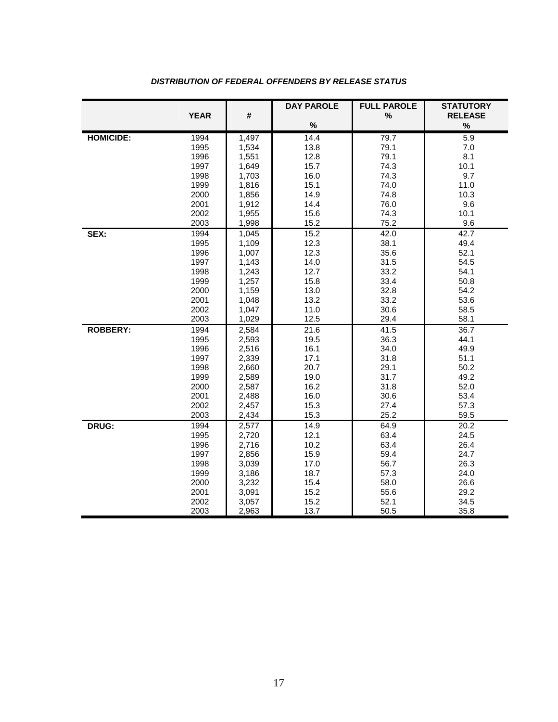|                  |              |                | <b>DAY PAROLE</b> | <b>FULL PAROLE</b> | <b>STATUTORY</b> |
|------------------|--------------|----------------|-------------------|--------------------|------------------|
|                  | <b>YEAR</b>  | #              |                   | %                  | <b>RELEASE</b>   |
|                  |              |                | $\%$              |                    | $\%$             |
| <b>HOMICIDE:</b> | 1994         | 1,497          | 14.4              | 79.7               | 5.9              |
|                  | 1995         | 1,534          | 13.8              | 79.1               | 7.0              |
|                  | 1996         | 1,551          | 12.8              | 79.1               | 8.1              |
|                  | 1997         | 1,649          | 15.7              | 74.3               | 10.1             |
|                  | 1998         | 1,703          | 16.0              | 74.3               | 9.7              |
|                  | 1999         | 1,816          | 15.1              | 74.0               | 11.0             |
|                  | 2000         | 1,856          | 14.9              | 74.8               | 10.3             |
|                  | 2001         | 1,912          | 14.4              | 76.0               | 9.6              |
|                  | 2002         | 1,955          | 15.6              | 74.3               | 10.1             |
|                  | 2003         | 1,998          | 15.2              | 75.2               | 9.6              |
| SEX:             | 1994         | 1,045          | 15.2              | 42.0               | 42.7             |
|                  | 1995         | 1,109          | 12.3              | 38.1               | 49.4             |
|                  | 1996         | 1,007          | 12.3              | 35.6               | 52.1             |
|                  | 1997         | 1,143          | 14.0              | 31.5               | 54.5             |
|                  | 1998         | 1,243          | 12.7              | 33.2               | 54.1             |
|                  | 1999         | 1,257          | 15.8              | 33.4               | 50.8             |
|                  | 2000         | 1,159          | 13.0              | 32.8               | 54.2             |
|                  | 2001         | 1,048          | 13.2              | 33.2               | 53.6             |
|                  | 2002         | 1,047          | 11.0              | 30.6               | 58.5             |
|                  | 2003         | 1,029          | 12.5              | 29.4               | 58.1             |
| <b>ROBBERY:</b>  | 1994         | 2,584          | $\overline{21.6}$ | 41.5               | 36.7             |
|                  | 1995         | 2,593          | 19.5              | 36.3               | 44.1             |
|                  | 1996         | 2,516          | 16.1              | 34.0               | 49.9             |
|                  | 1997         | 2,339          | 17.1              | 31.8               | 51.1             |
|                  | 1998         | 2,660          | 20.7              | 29.1               | 50.2             |
|                  | 1999         | 2,589          | 19.0              | 31.7<br>31.8       | 49.2<br>52.0     |
|                  | 2000<br>2001 | 2,587          | 16.2<br>16.0      | 30.6               | 53.4             |
|                  | 2002         | 2,488<br>2,457 | 15.3              | 27.4               | 57.3             |
|                  | 2003         | 2,434          | 15.3              | 25.2               | 59.5             |
| DRUG:            | 1994         | 2,577          | 14.9              | 64.9               | 20.2             |
|                  | 1995         | 2,720          | 12.1              | 63.4               | 24.5             |
|                  | 1996         | 2,716          | 10.2              | 63.4               | 26.4             |
|                  | 1997         | 2,856          | 15.9              | 59.4               | 24.7             |
|                  | 1998         | 3,039          | 17.0              | 56.7               | 26.3             |
|                  | 1999         | 3,186          | 18.7              | 57.3               | 24.0             |
|                  | 2000         | 3,232          | 15.4              | 58.0               | 26.6             |
|                  | 2001         | 3,091          | 15.2              | 55.6               | 29.2             |
|                  | 2002         | 3,057          | 15.2              | 52.1               | 34.5             |
|                  | 2003         | 2,963          | 13.7              | 50.5               | 35.8             |

#### *DISTRIBUTION OF FEDERAL OFFENDERS BY RELEASE STATUS*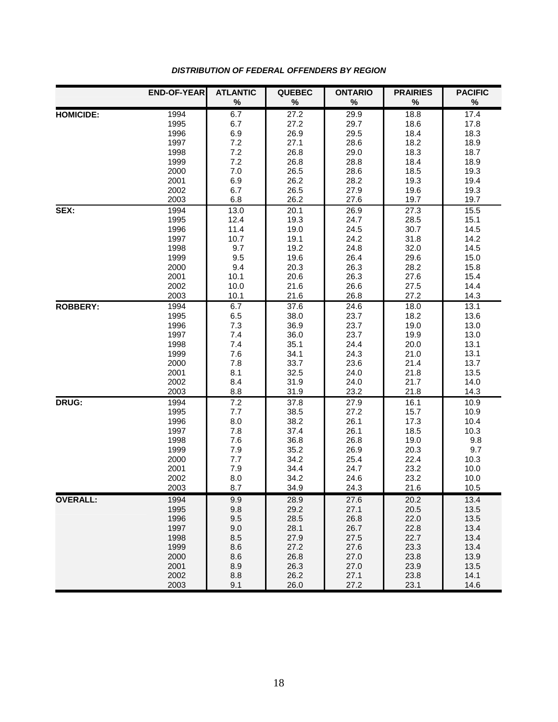|                  | <b>END-OF-YEAR</b> | <b>ATLANTIC</b> | <b>QUEBEC</b> | <b>ONTARIO</b> | <b>PRAIRIES</b> | <b>PACIFIC</b> |
|------------------|--------------------|-----------------|---------------|----------------|-----------------|----------------|
|                  |                    | $\%$            | $\%$          | $\%$           | $\%$            | $\%$           |
| <b>HOMICIDE:</b> | 1994               | 6.7             | 27.2          | 29.9           | 18.8            | 17.4           |
|                  | 1995               | 6.7             | 27.2          | 29.7           | 18.6            | 17.8           |
|                  | 1996               | 6.9             | 26.9          | 29.5           | 18.4            | 18.3           |
|                  | 1997               | 7.2             | 27.1          | 28.6           | 18.2            | 18.9           |
|                  | 1998               | 7.2             | 26.8          | 29.0           | 18.3            | 18.7           |
|                  | 1999               | 7.2             | 26.8          | 28.8           | 18.4            | 18.9           |
|                  | 2000               | $7.0\,$         | 26.5          | 28.6           | 18.5            | 19.3           |
|                  | 2001               | 6.9             | 26.2          | 28.2           | 19.3            | 19.4           |
|                  | 2002               | 6.7             | 26.5          | 27.9           | 19.6            | 19.3           |
|                  | 2003               | 6.8             | 26.2          | 27.6           | 19.7            | 19.7           |
| SEX:             | 1994               | 13.0            | 20.1          | 26.9           | 27.3            | 15.5           |
|                  | 1995               | 12.4            | 19.3          | 24.7           | 28.5            | 15.1           |
|                  | 1996               | 11.4            | 19.0          | 24.5           | 30.7            | 14.5           |
|                  | 1997               | 10.7            | 19.1          | 24.2           | 31.8            | 14.2           |
|                  | 1998               | 9.7             | 19.2          | 24.8           | 32.0            | 14.5           |
|                  | 1999               | 9.5             | 19.6          | 26.4           | 29.6            | 15.0           |
|                  | 2000               | 9.4             | 20.3          | 26.3           | 28.2            | 15.8           |
|                  | 2001               | 10.1            | 20.6          | 26.3           | 27.6            | 15.4           |
|                  | 2002               | 10.0            | 21.6          | 26.6           | 27.5            | 14.4           |
|                  | 2003               | 10.1            | 21.6          | 26.8           | 27.2            | 14.3           |
| <b>ROBBERY:</b>  | 1994               | 6.7             | 37.6          | 24.6           | 18.0            | 13.1           |
|                  | 1995               | 6.5             | 38.0          | 23.7           | 18.2            | 13.6           |
|                  | 1996               | 7.3             | 36.9          | 23.7           | 19.0            | 13.0           |
|                  | 1997               | 7.4             | 36.0          | 23.7           | 19.9            | 13.0           |
|                  | 1998               | 7.4             | 35.1          | 24.4           | 20.0            | 13.1           |
|                  | 1999               | 7.6             | 34.1          | 24.3           | 21.0            | 13.1           |
|                  | 2000               | 7.8             | 33.7          | 23.6           | 21.4            | 13.7           |
|                  | 2001               | 8.1<br>8.4      | 32.5          | 24.0           | 21.8            | 13.5           |
|                  | 2002<br>2003       | 8.8             | 31.9<br>31.9  | 24.0<br>23.2   | 21.7<br>21.8    | 14.0<br>14.3   |
|                  |                    |                 |               |                |                 |                |
| DRUG:            | 1994<br>1995       | 7.2             | 37.8          | 27.9<br>27.2   | 16.1<br>15.7    | 10.9<br>10.9   |
|                  | 1996               | $7.7\,$         | 38.5<br>38.2  | 26.1           | 17.3            | 10.4           |
|                  | 1997               | 8.0<br>7.8      | 37.4          | 26.1           | 18.5            | 10.3           |
|                  | 1998               | 7.6             | 36.8          | 26.8           | 19.0            | 9.8            |
|                  | 1999               | 7.9             | 35.2          | 26.9           | 20.3            | 9.7            |
|                  | 2000               | 7.7             | 34.2          | 25.4           | 22.4            | 10.3           |
|                  | 2001               | 7.9             | 34.4          | 24.7           | 23.2            | 10.0           |
|                  | 2002               | 8.0             | 34.2          | 24.6           | 23.2            | 10.0           |
|                  | 2003               | 8.7             | 34.9          | 24.3           | 21.6            | 10.5           |
| <b>OVERALL:</b>  | 1994               | 9.9             | 28.9          | 27.6           | 20.2            | 13.4           |
|                  | 1995               | 9.8             | 29.2          | 27.1           | 20.5            | 13.5           |
|                  | 1996               | 9.5             | 28.5          | 26.8           | 22.0            | 13.5           |
|                  | 1997               | 9.0             | 28.1          | 26.7           | 22.8            | 13.4           |
|                  | 1998               | 8.5             | 27.9          | 27.5           | 22.7            | 13.4           |
|                  | 1999               | 8.6             | 27.2          | 27.6           | 23.3            | 13.4           |
|                  | 2000               | 8.6             | 26.8          | 27.0           | 23.8            | 13.9           |
|                  | 2001               | 8.9             | 26.3          | 27.0           | 23.9            | 13.5           |
|                  | 2002               | 8.8             | 26.2          | 27.1           | 23.8            | 14.1           |
|                  | 2003               | 9.1             | 26.0          | 27.2           | 23.1            | 14.6           |

#### *DISTRIBUTION OF FEDERAL OFFENDERS BY REGION*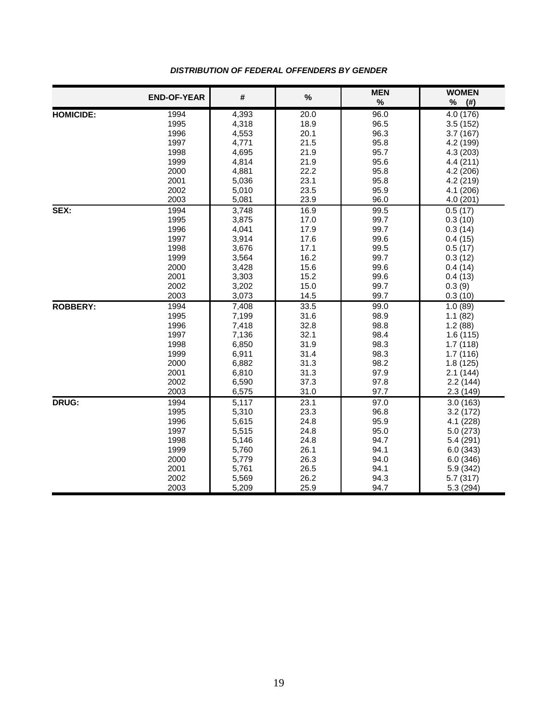|                  | <b>END-OF-YEAR</b> | #              | %            | <b>MEN</b><br>$\%$ | <b>WOMEN</b><br>℅     |
|------------------|--------------------|----------------|--------------|--------------------|-----------------------|
|                  |                    |                |              |                    | (# )                  |
| <b>HOMICIDE:</b> | 1994<br>1995       | 4,393<br>4,318 | 20.0<br>18.9 | 96.0<br>96.5       | 4.0 (176)<br>3.5(152) |
|                  | 1996               | 4,553          | 20.1         | 96.3               | 3.7 (167)             |
|                  | 1997               | 4,771          | 21.5         | 95.8               | 4.2 (199)             |
|                  | 1998               | 4,695          | 21.9         | 95.7               | 4.3 (203)             |
|                  | 1999               | 4,814          | 21.9         | 95.6               | 4.4(211)              |
|                  | 2000               | 4,881          | 22.2         | 95.8               | 4.2 (206)             |
|                  | 2001               | 5,036          | 23.1         | 95.8               | 4.2 (219)             |
|                  | 2002               | 5,010          | 23.5         | 95.9               | 4.1 (206)             |
|                  | 2003               | 5,081          | 23.9         | 96.0               | 4.0(201)              |
| SEX:             | 1994               | 3,748          | 16.9         | 99.5               | 0.5(17)               |
|                  | 1995               | 3,875          | 17.0         | 99.7               | 0.3(10)               |
|                  | 1996               | 4,041          | 17.9         | 99.7               | 0.3(14)               |
|                  | 1997               | 3,914          | 17.6         | 99.6               | 0.4(15)               |
|                  | 1998               | 3,676          | 17.1         | 99.5               | 0.5(17)               |
|                  | 1999               | 3,564          | 16.2         | 99.7               | 0.3(12)               |
|                  | 2000               | 3,428          | 15.6         | 99.6               | 0.4(14)               |
|                  | 2001               | 3,303          | 15.2         | 99.6               | 0.4(13)               |
|                  | 2002               | 3,202          | 15.0         | 99.7               | 0.3(9)                |
|                  | 2003               | 3,073          | 14.5         | 99.7               | 0.3(10)               |
| <b>ROBBERY:</b>  | 1994               | 7,408          | 33.5         | 99.0               | 1.0(89)               |
|                  | 1995               | 7,199          | 31.6         | 98.9               | 1.1(82)               |
|                  | 1996               | 7,418          | 32.8         | 98.8               | 1.2(88)               |
|                  | 1997               | 7,136          | 32.1         | 98.4               | 1.6(115)              |
|                  | 1998               | 6,850          | 31.9         | 98.3               | 1.7(118)              |
|                  | 1999               | 6,911          | 31.4         | 98.3               | 1.7(116)              |
|                  | 2000               | 6,882          | 31.3         | 98.2               | 1.8(125)              |
|                  | 2001               | 6,810          | 31.3         | 97.9               | 2.1(144)              |
|                  | 2002               | 6,590          | 37.3         | 97.8               | 2.2(144)              |
|                  | 2003               | 6,575          | 31.0         | 97.7               | 2.3(149)              |
| DRUG:            | 1994               | 5,117          | 23.1         | 97.0               | 3.0(163)              |
|                  | 1995               | 5,310          | 23.3         | 96.8               | 3.2(172)              |
|                  | 1996               | 5,615          | 24.8         | 95.9               | 4.1 (228)             |
|                  | 1997               | 5,515          | 24.8         | 95.0               | 5.0(273)              |
|                  | 1998               | 5,146          | 24.8         | 94.7               | 5.4 (291)             |
|                  | 1999               | 5,760          | 26.1         | 94.1               | 6.0(343)              |
|                  | 2000               | 5,779          | 26.3         | 94.0               | 6.0(346)              |
|                  | 2001               | 5,761          | 26.5         | 94.1               | 5.9 (342)             |
|                  | 2002               | 5,569          | 26.2         | 94.3               | 5.7(317)              |
|                  | 2003               | 5,209          | 25.9         | 94.7               | 5.3 (294)             |

#### *DISTRIBUTION OF FEDERAL OFFENDERS BY GENDER*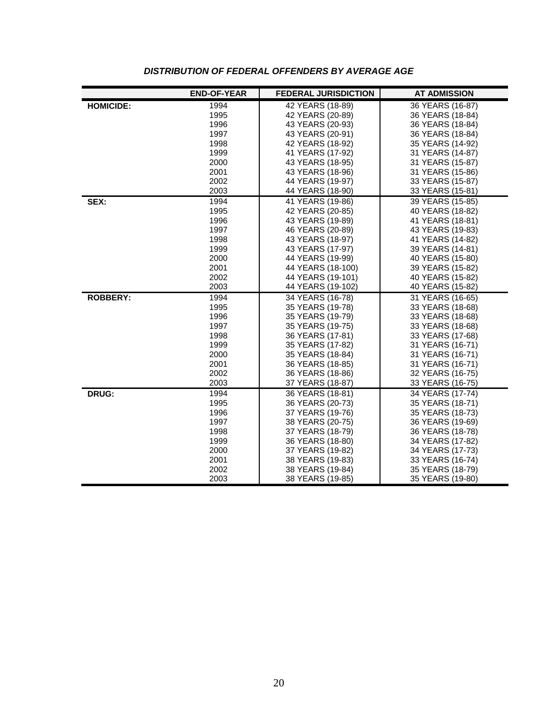|                  | <b>END-OF-YEAR</b> | <b>FEDERAL JURISDICTION</b> | <b>AT ADMISSION</b> |
|------------------|--------------------|-----------------------------|---------------------|
| <b>HOMICIDE:</b> | 1994               | 42 YEARS (18-89)            | 36 YEARS (16-87)    |
|                  | 1995               | 42 YEARS (20-89)            | 36 YEARS (18-84)    |
|                  | 1996               | 43 YEARS (20-93)            | 36 YEARS (18-84)    |
|                  | 1997               | 43 YEARS (20-91)            | 36 YEARS (18-84)    |
|                  | 1998               | 42 YEARS (18-92)            | 35 YEARS (14-92)    |
|                  | 1999               | 41 YEARS (17-92)            | 31 YEARS (14-87)    |
|                  | 2000               | 43 YEARS (18-95)            | 31 YEARS (15-87)    |
|                  | 2001               | 43 YEARS (18-96)            | 31 YEARS (15-86)    |
|                  | 2002               | 44 YEARS (19-97)            | 33 YEARS (15-87)    |
|                  | 2003               | 44 YEARS (18-90)            | 33 YEARS (15-81)    |
| SEX:             | 1994               | 41 YEARS (19-86)            | 39 YEARS (15-85)    |
|                  | 1995               | 42 YEARS (20-85)            | 40 YEARS (18-82)    |
|                  | 1996               | 43 YEARS (19-89)            | 41 YEARS (18-81)    |
|                  | 1997               | 46 YEARS (20-89)            | 43 YEARS (19-83)    |
|                  | 1998               | 43 YEARS (18-97)            | 41 YEARS (14-82)    |
|                  | 1999               | 43 YEARS (17-97)            | 39 YEARS (14-81)    |
|                  | 2000               | 44 YEARS (19-99)            | 40 YEARS (15-80)    |
|                  | 2001               | 44 YEARS (18-100)           | 39 YEARS (15-82)    |
|                  | 2002               | 44 YEARS (19-101)           | 40 YEARS (15-82)    |
|                  | 2003               | 44 YEARS (19-102)           | 40 YEARS (15-82)    |
| <b>ROBBERY:</b>  | 1994               | 34 YEARS (16-78)            | 31 YEARS (16-65)    |
|                  | 1995               | 35 YEARS (19-78)            | 33 YEARS (18-68)    |
|                  | 1996               | 35 YEARS (19-79)            | 33 YEARS (18-68)    |
|                  | 1997               | 35 YEARS (19-75)            | 33 YEARS (18-68)    |
|                  | 1998               | 36 YEARS (17-81)            | 33 YEARS (17-68)    |
|                  | 1999               | 35 YEARS (17-82)            | 31 YEARS (16-71)    |
|                  | 2000               | 35 YEARS (18-84)            | 31 YEARS (16-71)    |
|                  | 2001               | 36 YEARS (18-85)            | 31 YEARS (16-71)    |
|                  | 2002               | 36 YEARS (18-86)            | 32 YEARS (16-75)    |
|                  | 2003               | 37 YEARS (18-87)            | 33 YEARS (16-75)    |
| DRUG:            | 1994               | 36 YEARS (18-81)            | 34 YEARS (17-74)    |
|                  | 1995               | 36 YEARS (20-73)            | 35 YEARS (18-71)    |
|                  | 1996               | 37 YEARS (19-76)            | 35 YEARS (18-73)    |
|                  | 1997               | 38 YEARS (20-75)            | 36 YEARS (19-69)    |
|                  | 1998               | 37 YEARS (18-79)            | 36 YEARS (18-78)    |
|                  | 1999               | 36 YEARS (18-80)            | 34 YEARS (17-82)    |
|                  | 2000               | 37 YEARS (19-82)            | 34 YEARS (17-73)    |
|                  | 2001               | 38 YEARS (19-83)            | 33 YEARS (16-74)    |
|                  | 2002               | 38 YEARS (19-84)            | 35 YEARS (18-79)    |
|                  | 2003               | 38 YEARS (19-85)            | 35 YEARS (19-80)    |

#### *DISTRIBUTION OF FEDERAL OFFENDERS BY AVERAGE AGE*